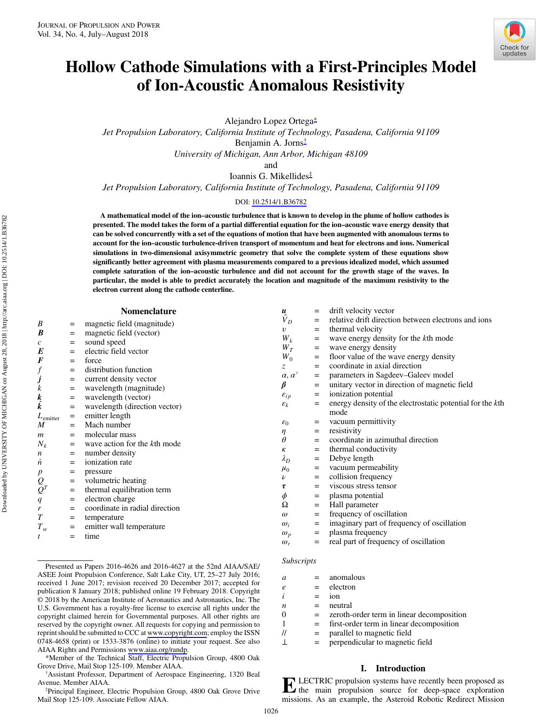# Hollow Cathode Simulations with a First-Principles Model of Ion-Acoustic Anomalous Resistivity

Alejandro Lopez Ortega<sup>∗</sup>

Jet Propulsion Laboratory, California Institute of Technology, Pasadena, California 91109

Benjamin A. Jorns†

University of Michigan, Ann Arbor, Michigan 48109

and

Ioannis G. Mikellides‡

Jet Propulsion Laboratory, California Institute of Technology, Pasadena, California 91109

#### DOI: [10.2514/1.B36782](http://dx.doi.org/10.2514/1.B36782)

A mathematical model of the ion–acoustic turbulence that is known to develop in the plume of hollow cathodes is presented. The model takes the form of a partial differential equation for the ion–acoustic wave energy density that can be solved concurrently with a set of the equations of motion that have been augmented with anomalous terms to account for the ion–acoustic turbulence-driven transport of momentum and heat for electrons and ions. Numerical simulations in two-dimensional axisymmetric geometry that solve the complete system of these equations show significantly better agreement with plasma measurements compared to a previous idealized model, which assumed complete saturation of the ion–acoustic turbulence and did not account for the growth stage of the waves. In particular, the model is able to predict accurately the location and magnitude of the maximum resistivity to the electron current along the cathode centerline.

#### Nomenclature

| B                         | $=$ | magnetic field (magnitude)     | $\hat{V}_D$        |     | relative drift direction between electrons and ions       |  |  |
|---------------------------|-----|--------------------------------|--------------------|-----|-----------------------------------------------------------|--|--|
| B                         | $=$ | magnetic field (vector)        | v                  | $=$ | thermal velocity                                          |  |  |
|                           | $=$ | sound speed                    | $W_k$              | $=$ | wave energy density for the kth mode                      |  |  |
| E                         | $=$ | electric field vector          | $W_T$              | $=$ | wave energy density                                       |  |  |
| F                         | $=$ | force                          | $W_0$              | $=$ | floor value of the wave energy density                    |  |  |
|                           | $=$ | distribution function          | Z.                 | $=$ | coordinate in axial direction                             |  |  |
|                           | $=$ | current density vector         | $\alpha, \alpha'$  | $=$ | parameters in Sagdeev–Galeev model                        |  |  |
|                           | $=$ | wavelength (magnitude)         | $\beta$            | $=$ | unitary vector in direction of magnetic field             |  |  |
|                           | $=$ | wavelength (vector)            | $\varepsilon_{ip}$ | $=$ | ionization potential                                      |  |  |
| ķ<br>k                    | $=$ | wavelength (direction vector)  | $\varepsilon_k$    | $=$ | energy density of the electrostatic potential for the kth |  |  |
|                           | $=$ | emitter length                 |                    |     | mode                                                      |  |  |
| $L_{\text{emitter}}$<br>M |     | Mach number                    | $\varepsilon_0$    | $=$ | vacuum permittivity                                       |  |  |
|                           | $=$ |                                | η                  | $=$ | resistivity                                               |  |  |
| $\mathfrak{m}$            | $=$ | molecular mass                 | $\theta$           | $=$ | coordinate in azimuthal direction                         |  |  |
| $N_k$                     | $=$ | wave action for the kth mode   | κ                  | $=$ | thermal conductivity                                      |  |  |
| n                         | $=$ | number density                 |                    | $=$ | Debye length                                              |  |  |
| n                         | $=$ | ionization rate                | $\lambda_D$        |     |                                                           |  |  |
| $\boldsymbol{p}$          | =   | pressure                       | $\mu_0$            | $=$ | vacuum permeability                                       |  |  |
| $\varrho$                 | $=$ | volumetric heating             | ν                  | $=$ | collision frequency                                       |  |  |
| $Q^T$                     | $=$ | thermal equilibration term     | τ                  | $=$ | viscous stress tensor                                     |  |  |
| q                         | $=$ | electron charge                | φ                  | $=$ | plasma potential                                          |  |  |
|                           | $=$ | coordinate in radial direction | Ω                  | $=$ | Hall parameter                                            |  |  |
| T                         | $=$ | temperature                    | $\omega$           | $=$ | frequency of oscillation                                  |  |  |
|                           |     |                                | $\omega_i$         | $=$ | imaginary part of frequency of oscillation                |  |  |
| $T_w$                     | $=$ | emitter wall temperature       | $\omega_p$         | $=$ | plasma frequency                                          |  |  |
|                           | $=$ | time                           | $\omega_r$         |     | real part of frequency of oscillation                     |  |  |
|                           |     |                                |                    |     |                                                           |  |  |

Presented as Papers 2016-4626 and 2016-4627 at the 52nd AIAA/SAE/ ASEE Joint Propulsion Conference, Salt Lake City, UT, 25–27 July 2016; received 1 June 2017; revision received 20 December 2017; accepted for publication 8 January 2018; published online 19 February 2018. Copyright © 2018 by the American Institute of Aeronautics and Astronautics, Inc. The U.S. Government has a royalty-free license to exercise all rights under the copyright claimed herein for Governmental purposes. All other rights are reserved by the copyright owner. All requests for copying and permission to reprint should be submitted to CCC at [www.copyright.com;](www.copyright.com) employ the ISSN 0748-4658 (print) or 1533-3876 (online) to initiate your request. See also AIAA Rights and Permissions [www.aiaa.org/randp.](www.aiaa.org/randp)

\*Member of the Technical Staff, Electric Propulsion Group, 4800 Oak Grove Drive, Mail Stop 125-109. Member AIAA. †

Assistant Professor, Department of Aerospace Engineering, 1320 Beal Avenue. Member AIAA. ‡

Principal Engineer, Electric Propulsion Group, 4800 Oak Grove Drive Mail Stop 125-109. Associate Fellow AIAA.

#### Subscripts

| a                |     | anomalous                                 |
|------------------|-----|-------------------------------------------|
| $\boldsymbol{e}$ | $=$ | electron                                  |
| i                |     | ion                                       |
| $\boldsymbol{n}$ | $=$ | neutral                                   |
|                  |     | zeroth-order term in linear decomposition |
|                  |     | first-order term in linear decomposition  |
|                  | $=$ | parallel to magnetic field                |
|                  |     | perpendicular to magnetic field           |

 $u =$  drift velocity vector

#### I. Introduction

ELECTRIC propulsion systems have recently been proposed as the main propulsion source for deep-space exploration missions. As an example, the Asteroid Robotic Redirect Mission

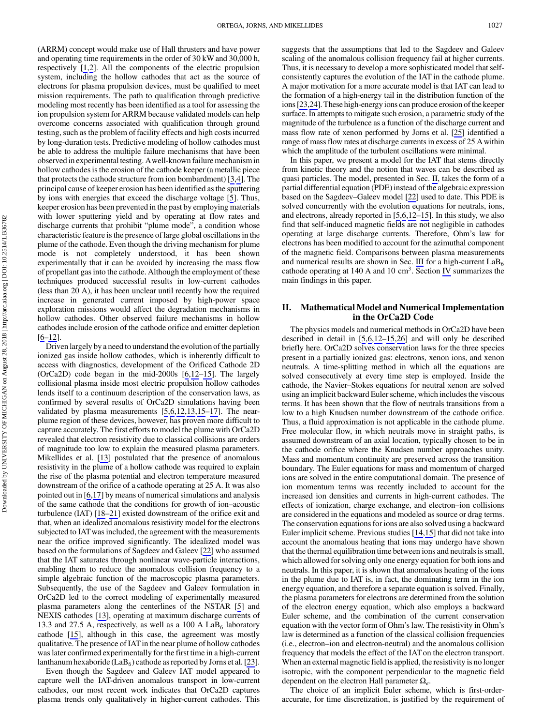<span id="page-1-0"></span>(ARRM) concept would make use of Hall thrusters and have power and operating time requirements in the order of 30 kW and 30,000 h, respectively [[1,2\]](#page-11-0). All the components of the electric propulsion system, including the hollow cathodes that act as the source of electrons for plasma propulsion devices, must be qualified to meet mission requirements. The path to qualification through predictive modeling most recently has been identified as a tool for assessing the ion propulsion system for ARRM because validated models can help overcome concerns associated with qualification through ground testing, such as the problem of facility effects and high costs incurred by long-duration tests. Predictive modeling of hollow cathodes must be able to address the multiple failure mechanisms that have been observed in experimental testing. Awell-known failure mechanism in hollow cathodes is the erosion of the cathode keeper (a metallic piece that protects the cathode structure from ion bombardment) [[3,4\]](#page-11-0). The principal cause of keeper erosion has been identified as the sputtering by ions with energies that exceed the discharge voltage [[5](#page-11-0)]. Thus, keeper erosion has been prevented in the past by employing materials with lower sputtering yield and by operating at flow rates and discharge currents that prohibit "plume mode", a condition whose characteristic feature is the presence of large global oscillations in the plume of the cathode. Even though the driving mechanism for plume mode is not completely understood, it has been shown experimentally that it can be avoided by increasing the mass flow of propellant gas into the cathode. Although the employment of these techniques produced successful results in low-current cathodes (less than 20 A), it has been unclear until recently how the required increase in generated current imposed by high-power space exploration missions would affect the degradation mechanisms in hollow cathodes. Other observed failure mechanisms in hollow cathodes include erosion of the cathode orifice and emitter depletion [\[6](#page-11-0)–[12](#page-11-0)].

Driven largely by a need to understand the evolution of the partially ionized gas inside hollow cathodes, which is inherently difficult to access with diagnostics, development of the Orificed Cathode 2D (OrCa2D) code began in the mid-2000s [\[6,12](#page-11-0)–[15](#page-11-0)]. The largely collisional plasma inside most electric propulsion hollow cathodes lends itself to a continuum description of the conservation laws, as confirmed by several results of OrCa2D simulations having been validated by plasma measurements [\[5,6,12](#page-11-0),[13,15](#page-11-0)–[17](#page-11-0)]. The nearplume region of these devices, however, has proven more difficult to capture accurately. The first efforts to model the plume with OrCa2D revealed that electron resistivity due to classical collisions are orders of magnitude too low to explain the measured plasma parameters. Mikellides et al. [[13\]](#page-11-0) postulated that the presence of anomalous resistivity in the plume of a hollow cathode was required to explain the rise of the plasma potential and electron temperature measured downstream of the orifice of a cathode operating at 25 A. It was also pointed out in [\[6,17](#page-11-0)] by means of numerical simulations and analysis of the same cathode that the conditions for growth of ion–acoustic turbulence (IAT) [[18](#page-11-0)–[21](#page-11-0)] existed downstream of the orifice exit and that, when an idealized anomalous resistivity model for the electrons subjected to IATwas included, the agreement with the measurements near the orifice improved significantly. The idealized model was based on the formulations of Sagdeev and Galeev [[22\]](#page-11-0) who assumed that the IAT saturates through nonlinear wave-particle interactions, enabling them to reduce the anomalous collision frequency to a simple algebraic function of the macroscopic plasma parameters. Subsequently, the use of the Sagdeev and Galeev formulation in OrCa2D led to the correct modeling of experimentally measured plasma parameters along the centerlines of the NSTAR [\[5\]](#page-11-0) and NEXIS cathodes [[13\]](#page-11-0), operating at maximum discharge currents of 13.3 and 27.5 A, respectively, as well as a 100 A  $LaB<sub>6</sub>$  laboratory cathode [[15\]](#page-11-0), although in this case, the agreement was mostly qualitative. The presence of IAT in the near plume of hollow cathodes was later confirmed experimentally for the first time in a high-current lanthanum hexaboride (LaB<sub>6</sub>) cathode as reported by Jorns et al. [\[23](#page-12-0)].

Even though the Sagdeev and Galeev IAT model appeared to capture well the IAT-driven anomalous transport in low-current cathodes, our most recent work indicates that OrCa2D captures plasma trends only qualitatively in higher-current cathodes. This

suggests that the assumptions that led to the Sagdeev and Galeev scaling of the anomalous collision frequency fail at higher currents. Thus, it is necessary to develop a more sophisticated model that selfconsistently captures the evolution of the IAT in the cathode plume. A major motivation for a more accurate model is that IAT can lead to the formation of a high-energy tail in the distribution function of the ions [\[23,24\]](#page-12-0). These high-energy ions can produce erosion of the keeper surface. In attempts to mitigate such erosion, a parametric study of the magnitude of the turbulence as a function of the discharge current and mass flow rate of xenon performed by Jorns et al. [\[25\]](#page-12-0) identified a range of mass flow rates at discharge currents in excess of 25 Awithin which the amplitude of the turbulent oscillations were minimal.

In this paper, we present a model for the IAT that stems directly from kinetic theory and the notion that waves can be described as quasi particles. The model, presented in Sec. II, takes the form of a partial differential equation (PDE) instead of the algebraic expression based on the Sagdeev–Galeev model [\[22](#page-11-0)] used to date. This PDE is solved concurrently with the evolution equations for neutrals, ions, and electrons, already reported in [\[5,6](#page-11-0),[12](#page-11-0)–[15](#page-11-0)]. In this study, we also find that self-induced magnetic fields are not negligible in cathodes operating at large discharge currents. Therefore, Ohm's law for electrons has been modified to account for the azimuthal component of the magnetic field. Comparisons between plasma measurements and numerical results are shown in Sec. [III](#page-6-0) for a high-current  $LaB<sub>6</sub>$ cathode operating at  $140 \text{ A}$  and  $10 \text{ cm}^3$ . Section [IV](#page-11-0) summarizes the main findings in this paper.

# II. Mathematical Model and Numerical Implementation in the OrCa2D Code

The physics models and numerical methods in OrCa2D have been described in detail in [\[5,6](#page-11-0),[12](#page-11-0)–[15](#page-11-0)[,26](#page-12-0)] and will only be described briefly here. OrCa2D solves conservation laws for the three species present in a partially ionized gas: electrons, xenon ions, and xenon neutrals. A time-splitting method in which all the equations are solved consecutively at every time step is employed. Inside the cathode, the Navier–Stokes equations for neutral xenon are solved using an implicit backward Euler scheme, which includes the viscous terms. It has been shown that the flow of neutrals transitions from a low to a high Knudsen number downstream of the cathode orifice. Thus, a fluid approximation is not applicable in the cathode plume. Free molecular flow, in which neutrals move in straight paths, is assumed downstream of an axial location, typically chosen to be in the cathode orifice where the Knudsen number approaches unity. Mass and momentum continuity are preserved across the transition boundary. The Euler equations for mass and momentum of charged ions are solved in the entire computational domain. The presence of ion momentum terms was recently included to account for the increased ion densities and currents in high-current cathodes. The effects of ionization, charge exchange, and electron–ion collisions are considered in the equations and modeled as source or drag terms. The conservation equations for ions are also solved using a backward Euler implicit scheme. Previous studies [[14,15\]](#page-11-0) that did not take into account the anomalous heating that ions may undergo have shown that the thermal equilibration time between ions and neutrals is small, which allowed for solving only one energy equation for both ions and neutrals. In this paper, it is shown that anomalous heating of the ions in the plume due to IAT is, in fact, the dominating term in the ion energy equation, and therefore a separate equation is solved. Finally, the plasma parameters for electrons are determined from the solution of the electron energy equation, which also employs a backward Euler scheme, and the combination of the current conservation equation with the vector form of Ohm's law. The resistivity in Ohm's law is determined as a function of the classical collision frequencies (i.e., electron–ion and electron-neutral) and the anomalous collision frequency that models the effect of the IAT on the electron transport. When an external magnetic field is applied, the resistivity is no longer isotropic, with the component perpendicular to the magnetic field dependent on the electron Hall parameter  $\Omega_e$ .

The choice of an implicit Euler scheme, which is first-orderaccurate, for time discretization, is justified by the requirement of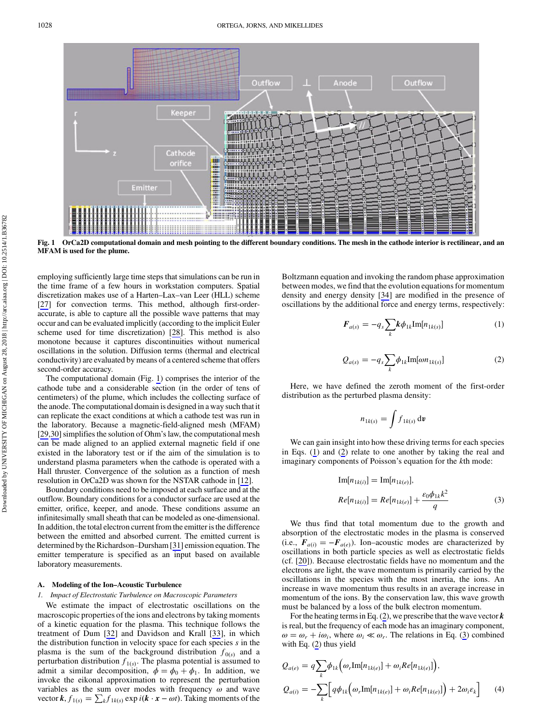<span id="page-2-0"></span>

Fig. 1 OrCa2D computational domain and mesh pointing to the different boundary conditions. The mesh in the cathode interior is rectilinear, and an MFAM is used for the plume.

employing sufficiently large time steps that simulations can be run in the time frame of a few hours in workstation computers. Spatial discretization makes use of a Harten–Lax–van Leer (HLL) scheme [\[27](#page-12-0)] for convection terms. This method, although first-orderaccurate, is able to capture all the possible wave patterns that may occur and can be evaluated implicitly (according to the implicit Euler scheme used for time discretization) [[28\]](#page-12-0). This method is also monotone because it captures discontinuities without numerical oscillations in the solution. Diffusion terms (thermal and electrical conductivity) are evaluated by means of a centered scheme that offers second-order accuracy.

The computational domain (Fig. 1) comprises the interior of the cathode tube and a considerable section (in the order of tens of centimeters) of the plume, which includes the collecting surface of the anode. The computational domain is designed in a way such that it can replicate the exact conditions at which a cathode test was run in the laboratory. Because a magnetic-field-aligned mesh (MFAM) [\[29](#page-12-0),[30\]](#page-12-0) simplifies the solution of Ohm's law, the computational mesh can be made aligned to an applied external magnetic field if one existed in the laboratory test or if the aim of the simulation is to understand plasma parameters when the cathode is operated with a Hall thruster. Convergence of the solution as a function of mesh resolution in OrCa2D was shown for the NSTAR cathode in [\[12](#page-11-0)].

Boundary conditions need to be imposed at each surface and at the outflow. Boundary conditions for a conductor surface are used at the emitter, orifice, keeper, and anode. These conditions assume an infinitesimally small sheath that can be modeled as one-dimensional. In addition, the total electron current from the emitter is the difference between the emitted and absorbed current. The emitted current is determined by the Richardson–Dursham [\[31](#page-12-0)] emission equation. The emitter temperature is specified as an input based on available laboratory measurements.

# A. Modeling of the Ion–Acoustic Turbulence

#### 1. Impact of Electrostatic Turbulence on Macroscopic Parameters

We estimate the impact of electrostatic oscillations on the macroscopic properties of the ions and electrons by taking moments of a kinetic equation for the plasma. This technique follows the treatment of Dum [[32](#page-12-0)] and Davidson and Krall [\[33](#page-12-0)], in which the distribution function in velocity space for each species  $s$  in the plasma is the sum of the background distribution  $f_{0(s)}$  and a perturbation distribution  $f_{1(s)}$ . The plasma potential is assumed to admit a similar decomposition,  $\phi = \phi_0 + \phi_1$ . In addition, we invoke the eikonal approximation to represent the perturbation variables as the sum over modes with frequency  $\omega$  and wave vector  $\mathbf{k}$ ,  $f_{1(s)} = \sum_{k} f_{1k(s)} \exp i(\mathbf{k} \cdot \mathbf{x} - \omega t)$ . Taking moments of the

Boltzmann equation and invoking the random phase approximation between modes, we find that the evolution equations for momentum density and energy density [\[34](#page-12-0)] are modified in the presence of oscillations by the additional force and energy terms, respectively:

$$
\boldsymbol{F}_{a(s)} = -q_s \sum_{k} k \phi_{1k} \text{Im}[n_{1k(s)}] \tag{1}
$$

$$
Q_{a(s)} = -q_s \sum_k \phi_{1k} \text{Im}[\omega n_{1k(s)}]
$$
 (2)

Here, we have defined the zeroth moment of the first-order distribution as the perturbed plasma density:

$$
n_{1k(s)} = \int f_{1k(s)} \, \mathrm{d}\mathbf{v}
$$

We can gain insight into how these driving terms for each species in Eqs. (1) and (2) relate to one another by taking the real and imaginary components of Poisson's equation for the kth mode:

Im[n<sub>1k(i)</sub>] = Im[n<sub>1k(e)</sub>],  
\n
$$
Re[n1k(i)] = Re[n1k(e)] + \frac{\varepsilon_0 \phi_{1k} k^2}{q}
$$
\n(3)

We thus find that total momentum due to the growth and absorption of the electrostatic modes in the plasma is conserved (i.e.,  $\mathbf{F}_{a(i)} = -\mathbf{F}_{a(e)}$ ). Ion–acoustic modes are characterized by oscillations in both particle species as well as electrostatic fields (cf. [\[20](#page-11-0)]). Because electrostatic fields have no momentum and the electrons are light, the wave momentum is primarily carried by the oscillations in the species with the most inertia, the ions. An increase in wave momentum thus results in an average increase in momentum of the ions. By the conservation law, this wave growth must be balanced by a loss of the bulk electron momentum.

For the heating terms in Eq. (2), we prescribe that the wave vector  $\boldsymbol{k}$ is real, but the frequency of each mode has an imaginary component,  $\omega = \omega_r + i\omega_i$ , where  $\omega_i \ll \omega_r$ . The relations in Eq. (3) combined with Eq. (2) thus yield

$$
Q_{a(e)} = q \sum_{k} \phi_{1k} \Big( \omega_r \text{Im}[n_{1k(e)}] + \omega_i Re[n_{1k(e)}] \Big),
$$
  
\n
$$
Q_{a(i)} = - \sum_{k} \Big[ q \phi_{1k} \Big( \omega_r \text{Im}[n_{1k(e)}] + \omega_i Re[n_{1k(e)}] \Big) + 2 \omega_i \varepsilon_k \Big]
$$
 (4)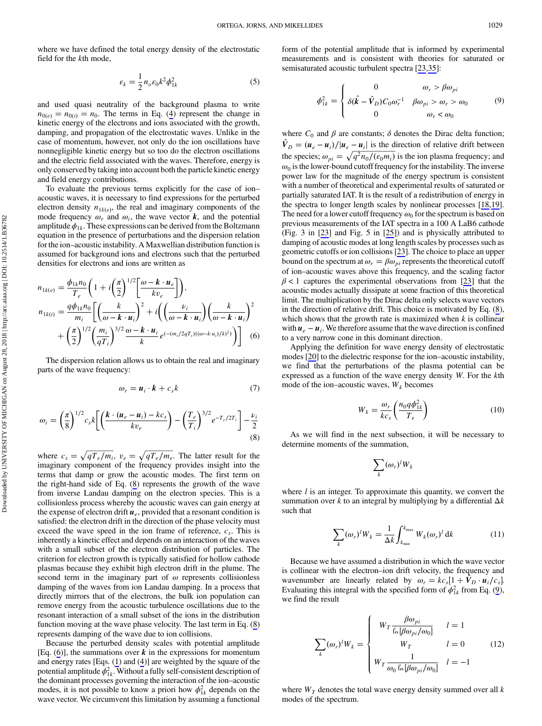<span id="page-3-0"></span>where we have defined the total energy density of the electrostatic field for the kth mode,

$$
\varepsilon_k = \frac{1}{2} n_o \varepsilon_0 k^2 \phi_{1k}^2 \tag{5}
$$

and used quasi neutrality of the background plasma to write  $n_{0(e)} = n_{0(i)} = n_0$ . The terms in Eq. [\(4\)](#page-2-0) represent the change in kinetic energy of the electrons and ions associated with the growth, damping, and propagation of the electrostatic waves. Unlike in the case of momentum, however, not only do the ion oscillations have nonnegligible kinetic energy but so too do the electron oscillations and the electric field associated with the waves. Therefore, energy is only conserved by taking into account both the particle kinetic energy and field energy contributions.

To evaluate the previous terms explicitly for the case of ion– acoustic waves, it is necessary to find expressions for the perturbed electron density  $n_{1k(e)}$ , the real and imaginary components of the mode frequency  $\omega_r$  and  $\omega_i$ , the wave vector **k**, and the potential amplitude  $\phi_{1k}$ . These expressions can be derived from the Boltzmann equation in the presence of perturbations and the dispersion relation for the ion–acoustic instability. A Maxwellian distribution function is assumed for background ions and electrons such that the perturbed densities for electrons and ions are written as

$$
n_{1k(e)} = \frac{\phi_{1k}n_0}{T_e} \left( 1 + i \left( \frac{\pi}{2} \right)^{1/2} \left[ \frac{\omega - \mathbf{k} \cdot \mathbf{u}_e}{kv_e} \right] \right),
$$
  
\n
$$
n_{1k(i)} = \frac{q\phi_{1k}n_0}{m_i} \left[ \left( \frac{\mathbf{k}}{\omega - \mathbf{k} \cdot \mathbf{u}_i} \right)^2 + i \left( \left( \frac{\nu_i}{\omega - \mathbf{k} \cdot \mathbf{u}_i} \right) \left( \frac{\mathbf{k}}{\omega - \mathbf{k} \cdot \mathbf{u}_i} \right)^2 \right. \\ \left. + \left( \frac{\pi}{2} \right)^{1/2} \left( \frac{m_i}{qT_i} \right)^{3/2} \frac{\omega - \mathbf{k} \cdot \mathbf{u}_i}{k} e^{(-\left( m_i/2qT_i\right)\left( \left( \omega - \mathbf{k} \cdot \mathbf{u}_i \right) / k\right)^2)} \right) \right] \tag{6}
$$

The dispersion relation allows us to obtain the real and imaginary parts of the wave frequency:

$$
\omega_r = \mathbf{u}_i \cdot \mathbf{k} + c_s \mathbf{k} \tag{7}
$$

$$
\omega_i = \left(\frac{\pi}{8}\right)^{1/2} c_s k \left[ \left(\frac{k \cdot (u_e - u_i) - k c_s}{k v_e}\right) - \left(\frac{T_e}{T_i}\right)^{3/2} e^{-T_e/2T_i} \right] - \frac{\nu_i}{2}
$$
\n(8)

where  $c_s = \sqrt{qT_e/m_i}$ ,  $v_e = \sqrt{qT_e/m_e}$ . The latter result for the imaginary component of the frequency provides insight into the terms that damp or grow the acoustic modes. The first term on the right-hand side of Eq. (8) represents the growth of the wave from inverse Landau damping on the electron species. This is a collisionless process whereby the acoustic waves can gain energy at the expense of electron drift  $u_e$ , provided that a resonant condition is satisfied: the electron drift in the direction of the phase velocity must exceed the wave speed in the ion frame of reference,  $c_s$ . This is inherently a kinetic effect and depends on an interaction of the waves with a small subset of the electron distribution of particles. The criterion for electron growth is typically satisfied for hollow cathode plasmas because they exhibit high electron drift in the plume. The second term in the imaginary part of  $\omega$  represents collisionless damping of the waves from ion Landau damping. In a process that directly mirrors that of the electrons, the bulk ion population can remove energy from the acoustic turbulence oscillations due to the resonant interaction of a small subset of the ions in the distribution function moving at the wave phase velocity. The last term in Eq. (8) represents damping of the wave due to ion collisions.

Because the perturbed density scales with potential amplitude [Eq. (6)], the summations over  $k$  in the expressions for momentum and energy rates [Eqs. ([1](#page-2-0)) and [\(4\)](#page-2-0)] are weighted by the square of the potential amplitude  $\phi_{1k}^2$ . Without a fully self-consistent description of the dominant processes governing the interaction of the ion–acoustic modes, it is not possible to know a priori how  $\phi_{1k}^2$  depends on the wave vector. We circumvent this limitation by assuming a functional form of the potential amplitude that is informed by experimental measurements and is consistent with theories for saturated or semisaturated acoustic turbulent spectra [[23,35](#page-12-0)]:

$$
\phi_{1k}^2 = \begin{cases}\n0 & \omega_r > \beta \omega_{pi} \\
\delta(\hat{k} - \hat{V}_D) C_0 \omega_r^{-1} & \beta \omega_{pi} > \omega_r > \omega_0 \\
0 & \omega_r < \omega_0\n\end{cases}
$$
\n(9)

where  $C_0$  and  $\beta$  are constants;  $\delta$  denotes the Dirac delta function;  $\hat{V}_D = (u_e - u_i)/|u_e - u_i|$  is the direction of relative drift between the species;  $\omega_{pi} = \sqrt{q^2 n_0 / (\varepsilon_0 m_i)}$  is the ion plasma frequency; and  $\omega_0$  is the lower-bound cutoff frequency for the instability. The inverse power law for the magnitude of the energy spectrum is consistent with a number of theoretical and experimental results of saturated or partially saturated IAT. It is the result of a redistribution of energy in the spectra to longer length scales by nonlinear processes [\[18,19](#page-11-0)]. The need for a lower cutoff frequency  $\omega_0$  for the spectrum is based on previous measurements of the IAT spectra in a 100 A LaB6 cathode (Fig. 3 in [\[23](#page-12-0)] and Fig. 5 in [\[25](#page-12-0)]) and is physically attributed to damping of acoustic modes at long length scales by processes such as geometric cutoffs or ion collisions [[23\]](#page-12-0). The choice to place an upper bound on the spectrum at  $\omega_r = \beta \omega_{pi}$  represents the theoretical cutoff of ion–acoustic waves above this frequency, and the scaling factor  $\beta$  < 1 captures the experimental observations from [\[23](#page-12-0)] that the acoustic modes actually dissipate at some fraction of this theoretical limit. The multiplication by the Dirac delta only selects wave vectors in the direction of relative drift. This choice is motivated by Eq. (8), which shows that the growth rate is maximized when  $k$  is collinear with  $u_e - u_i$ . We therefore assume that the wave direction is confined to a very narrow cone in this dominant direction.

Applying the definition for wave energy density of electrostatic modes [[20\]](#page-11-0) to the dielectric response for the ion–acoustic instability, we find that the perturbations of the plasma potential can be expressed as a function of the wave energy density W. For the kth mode of the ion–acoustic waves,  $W_k$  becomes

$$
W_k = \frac{\omega_r}{kc_s} \left( \frac{n_0 q \phi_{1k}^2}{T_e} \right) \tag{10}
$$

As we will find in the next subsection, it will be necessary to determine moments of the summation,

$$
\sum_k (\omega_r)^l W_k
$$

where  $l$  is an integer. To approximate this quantity, we convert the summation over k to an integral by multiplying by a differential  $\Delta k$ such that

$$
\sum_{k} (\omega_r)^l W_k = \frac{1}{\Delta k} \int_{k_{\min}}^{k_{\max}} W_k(\omega_r)^l \, \mathrm{d}k \tag{11}
$$

Because we have assumed a distribution in which the wave vector is collinear with the electron–ion drift velocity, the frequency and wavenumber are linearly related by  $\omega_r = kc_s[1 + \hat{V}_D \cdot \mathbf{u}_i/c_s]$ .<br>Evaluating this integral with the specified form of  $\phi_{1k}^2$  from Eq. (9), we find the result

$$
\sum_{k} (\omega_r)^l W_k = \begin{cases} W_T \frac{\beta \omega_{pi}}{\ln[\beta \omega_{pi}/\omega_0]} & l = 1\\ W_T & l = 0\\ W_T \frac{1}{\omega_0 \ln[\beta \omega_{pi}/\omega_0]} & l = -1 \end{cases}
$$
(12)

where  $W_T$  denotes the total wave energy density summed over all  $k$ modes of the spectrum.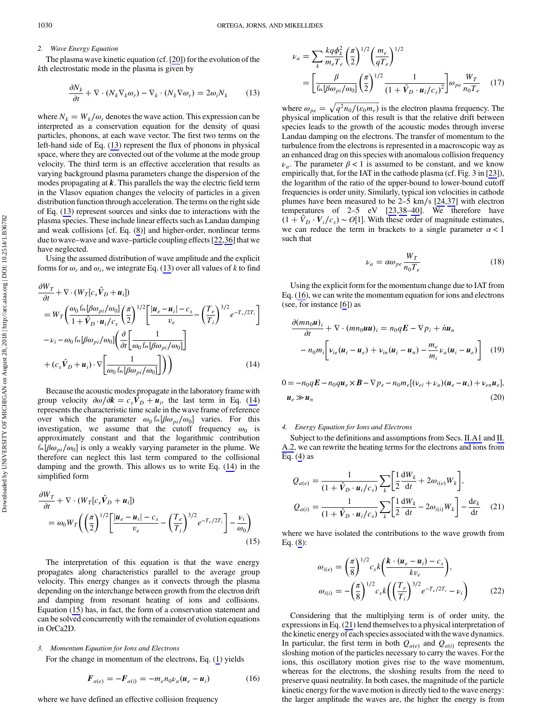#### <span id="page-4-0"></span>2. Wave Energy Equation

The plasma wave kinetic equation (cf. [[20\]](#page-11-0)) for the evolution of the kth electrostatic mode in the plasma is given by

$$
\frac{\partial N_k}{\partial t} + \nabla \cdot (N_k \nabla_k \omega_r) - \nabla_k \cdot (N_k \nabla \omega_r) = 2\omega_i N_k \tag{13}
$$

where  $N_k = W_k/\omega_r$  denotes the wave action. This expression can be interpreted as a conservation equation for the density of quasi particles, phonons, at each wave vector. The first two terms on the left-hand side of Eq. (13) represent the flux of phonons in physical space, where they are convected out of the volume at the mode group velocity. The third term is an effective acceleration that results as varying background plasma parameters change the dispersion of the modes propagating at  $k$ . This parallels the way the electric field term in the Vlasov equation changes the velocity of particles in a given distribution function through acceleration. The terms on the right side of Eq. (13) represent sources and sinks due to interactions with the plasma species. These include linear effects such as Landau damping and weak collisions [cf. Eq. ([8](#page-3-0))] and higher-order, nonlinear terms due to wave–wave and wave–particle coupling effects [\[22](#page-11-0)[,36](#page-12-0)] that we have neglected.

Using the assumed distribution of wave amplitude and the explicit forms for  $\omega_r$  and  $\omega_i$ , we integrate Eq. (13) over all values of k to find

$$
\frac{\partial W_T}{\partial t} + \nabla \cdot (W_T[c_s \hat{V}_D + \boldsymbol{u}_i])
$$
\n
$$
= W_T \bigg( \frac{\omega_0 \ln [\beta \omega_{pi}/\omega_0]}{1 + \hat{V}_D \cdot \boldsymbol{u}_i/c_s} \bigg( \frac{\pi}{2} \bigg)^{1/2} \bigg[ \frac{|\boldsymbol{u}_e - \boldsymbol{u}_i| - c_s}{v_e} - \bigg( \frac{T_e}{T_i} \bigg)^{3/2} e^{-T_e/2T_i} \bigg]
$$
\n
$$
- \nu_i - \omega_0 \ln [\beta \omega_{pi}/\omega_0] \bigg( \frac{\partial}{\partial t} \bigg[ \frac{1}{\omega_0 \ln [\beta \omega_{pi}/\omega_0]} \bigg]
$$
\n
$$
+ (c_s \hat{V}_D + \boldsymbol{u}_i) \cdot \nabla \bigg[ \frac{1}{\omega_0 \ln [\beta \omega_{pi}/\omega_0]} \bigg] \bigg) \bigg)
$$
\n(14)

Because the acoustic modes propagate in the laboratory frame with group velocity  $\partial \omega / \partial k = c_s \hat{V}_D + \hat{u}_i$ , the last term in Eq. (14) represents the characteristic time scale in the wave frame of reference over which the parameter  $\omega_0 \ln[\beta \omega_{pi}/\omega_0]$  varies. For this investigation, we assume that the cutoff frequency  $\omega_0$  is approximately constant and that the logarithmic contribution  $ln[\beta\omega_{pi}/\omega_0]$  is only a weakly varying parameter in the plume. We therefore can neglect this last term compared to the collisional damping and the growth. This allows us to write Eq. (14) in the simplified form

$$
\frac{\partial W_T}{\partial t} + \nabla \cdot (W_T[c_s \hat{V}_D + \boldsymbol{u}_i])
$$
\n
$$
= \omega_0 W_T \left( \left( \frac{\pi}{2} \right)^{1/2} \left[ \frac{|\boldsymbol{u}_e - \boldsymbol{u}_i| - c_s}{v_e} - \left( \frac{T_e}{T_i} \right)^{3/2} e^{-T_e/2T_i} \right] - \frac{\nu_i}{\omega_0} \right)
$$
\n(15)

The interpretation of this equation is that the wave energy propagates along characteristics parallel to the average group velocity. This energy changes as it convects through the plasma depending on the interchange between growth from the electron drift and damping from resonant heating of ions and collisions. Equation (15) has, in fact, the form of a conservation statement and can be solved concurrently with the remainder of evolution equations in OrCa2D.

#### 3. Momentum Equation for Ions and Electrons

For the change in momentum of the electrons, Eq. ([1](#page-2-0)) yields

$$
\boldsymbol{F}_{a(e)} = -\boldsymbol{F}_{a(i)} = -m_e n_0 \nu_a (\boldsymbol{u}_e - \boldsymbol{u}_i) \tag{16}
$$

where we have defined an effective collision frequency

$$
\nu_a = \sum_k \frac{kq\phi_k^2}{m_e T_e} \left(\frac{\pi}{2}\right)^{1/2} \left(\frac{m_e}{qT_e}\right)^{1/2}
$$

$$
= \left[\frac{\beta}{\ln[\beta\omega_{pi}/\omega_0]} \left(\frac{\pi}{2}\right)^{1/2} \frac{1}{\left(1+\hat{V}_D \cdot \mathbf{u}_i/c_s\right)^2} \right] \omega_{pe} \frac{W_T}{n_0 T_e} \quad (17)
$$

where  $\omega_{pe} = \sqrt{q^2 n_0 / (\varepsilon_0 m_e)}$  is the electron plasma frequency. The physical implication of this result is that the relative drift between species leads to the growth of the acoustic modes through inverse Landau damping on the electrons. The transfer of momentum to the turbulence from the electrons is represented in a macroscopic way as an enhanced drag on this species with anomalous collision frequency  $\nu_a$ . The parameter  $\beta$  < 1 is assumed to be constant, and we know empirically that, for the IAT in the cathode plasma (cf. Fig. 3 in [\[23](#page-12-0)]), the logarithm of the ratio of the upper-bound to lower-bound cutoff frequencies is order unity. Similarly, typical ion velocities in cathode plumes have been measured to be 2–5 km∕s [[24](#page-12-0),[37\]](#page-12-0) with electron temperatures of 2–5 eV [\[23,38](#page-12-0)–[40\]](#page-12-0). We therefore have  $(1 + \hat{V}_D \cdot V_i/c_s) \sim O[1]$ . With these order of magnitude estimates, we can reduce the term in brackets to a single parameter  $\alpha < 1$ such that

$$
\nu_a = \alpha \omega_{pe} \frac{W_T}{n_0 T_e} \tag{18}
$$

Using the explicit form for the momentum change due to IAT from Eq. (16), we can write the momentum equation for ions and electrons (see, for instance [[6](#page-11-0)]) as

$$
\frac{\partial (mn_0 \mathbf{u})_i}{\partial t} + \nabla \cdot (mn_0 \mathbf{u} \mathbf{u})_i = n_0 q \mathbf{E} - \nabla p_i + \dot{n} \mathbf{u}_n
$$

$$
- n_0 m_i \bigg[ v_{ie} (\mathbf{u}_i - \mathbf{u}_e) + v_{in} (\mathbf{u}_i - \mathbf{u}_n) - \frac{m_e}{m_i} v_a (\mathbf{u}_i - \mathbf{u}_e) \bigg] \tag{19}
$$

$$
0 = -n_0 qE - n_0 q u_e \times B - \nabla p_e - n_0 m_e [(\nu_{ei} + \nu_a)(u_e - u_i) + \nu_{en} u_e],
$$
  

$$
u_e \gg u_n
$$
 (20)

#### 4. Energy Equation for Ions and Electrons

Subject to the definitions and assumptions from Secs. [II.A1](#page-2-0) and II. A.2, we can rewrite the heating terms for the electrons and ions from Eq.  $(4)$  $(4)$  $(4)$  as

$$
Q_{a(e)} = \frac{1}{(1 + \hat{V}_D \cdot \mathbf{u}_i/c_s)} \sum_{k} \left[ \frac{1}{2} \frac{dW_k}{dt} + 2\omega_{i(e)} W_k \right],
$$
  

$$
Q_{a(i)} = \frac{1}{(1 + \hat{V}_D \cdot \mathbf{u}_i/c_s)} \sum_{k} \left[ \frac{1}{2} \frac{dW_k}{dt} - 2\omega_{i(i)} W_k \right] - \frac{d\varepsilon_k}{dt} \quad (21)
$$

where we have isolated the contributions to the wave growth from Eq. ([8](#page-3-0)):

$$
\omega_{i(e)} = \left(\frac{\pi}{8}\right)^{1/2} c_s k \left(\frac{\mathbf{k} \cdot (\mathbf{u}_e - \mathbf{u}_i) - c_s}{kv_e}\right),
$$
  

$$
\omega_{i(i)} = -\left(\frac{\pi}{8}\right)^{1/2} c_s k \left(\left(\frac{T_e}{T_i}\right)^{3/2} e^{-T_e/2T_i} - \nu_i\right)
$$
(22)

Considering that the multiplying term is of order unity, the expressions in Eq. (21) lend themselves to a physical interpretation of the kinetic energy of each species associated with the wave dynamics. In particular, the first term in both  $Q_{a(e)}$  and  $Q_{a(i)}$  represents the sloshing motion of the particles necessary to carry the waves. For the ions, this oscillatory motion gives rise to the wave momentum, whereas for the electrons, the sloshing results from the need to preserve quasi neutrality. In both cases, the magnitude of the particle kinetic energy for the wave motion is directly tied to the wave energy: the larger amplitude the waves are, the higher the energy is from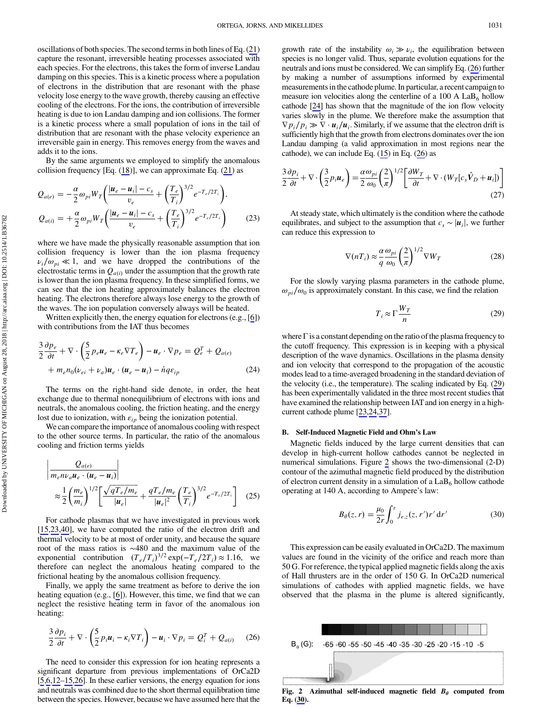<span id="page-5-0"></span>oscillations of both species. The second terms in both lines of Eq. ([21\)](#page-4-0) capture the resonant, irreversible heating processes associated with each species. For the electrons, this takes the form of inverse Landau damping on this species. This is a kinetic process where a population of electrons in the distribution that are resonant with the phase velocity lose energy to the wave growth, thereby causing an effective cooling of the electrons. For the ions, the contribution of irreversible heating is due to ion Landau damping and ion collisions. The former is a kinetic process where a small population of ions in the tail of distribution that are resonant with the phase velocity experience an irreversible gain in energy. This removes energy from the waves and adds it to the ions.

By the same arguments we employed to simplify the anomalous collision frequency [Eq. [\(18](#page-4-0))], we can approximate Eq. [\(21](#page-4-0)) as

$$
Q_{a(e)} = -\frac{\alpha}{2} \omega_{pi} W_T \left( \frac{|\mathbf{u}_e - \mathbf{u}_i| - c_s}{v_e} + \left( \frac{T_e}{T_i} \right)^{3/2} e^{-T_e/2T_i} \right),
$$
  
\n
$$
Q_{a(i)} = +\frac{\alpha}{2} \omega_{pi} W_T \left( \frac{|\mathbf{u}_e - \mathbf{u}_i| - c_s}{v_e} + \left( \frac{T_e}{T_i} \right)^{3/2} e^{-T_e/2T_i} \right)
$$
(23)

where we have made the physically reasonable assumption that ion collision frequency is lower than the ion plasma frequency  $\nu_i/\omega_{pi} \ll 1$ , and we have dropped the contributions of the electrostatic terms in  $Q_{a(i)}$  under the assumption that the growth rate is lower than the ion plasma frequency. In these simplified forms, we can see that the ion heating approximately balances the electron heating. The electrons therefore always lose energy to the growth of the waves. The ion population conversely always will be heated.

Written explicitly then, the energy equation for electrons (e.g., [\[6\]](#page-11-0)) with contributions from the IAT thus becomes

$$
\frac{3}{2}\frac{\partial p_e}{\partial t} + \nabla \cdot \left(\frac{5}{2}p_e u_e - \kappa_e \nabla T_e\right) - u_e \cdot \nabla p_e = Q_e^T + Q_{a(e)}
$$
  
+ 
$$
m_e n_0 (\nu_{ei} + \nu_a) u_e \cdot (u_e - u_i) - n q \varepsilon_{ip}
$$
 (24)

The terms on the right-hand side denote, in order, the heat exchange due to thermal nonequilibrium of electrons with ions and neutrals, the anomalous cooling, the friction heating, and the energy lost due to ionization, with  $\varepsilon_{ip}$  being the ionization potential.

We can compare the importance of anomalous cooling with respect to the other source terms. In particular, the ratio of the anomalous cooling and friction terms yields

$$
\left| \frac{Q_{a(e)}}{m_e n v_a u_e \cdot (u_e - u_i)} \right|
$$
  
\n
$$
\approx \frac{1}{2} \left( \frac{m_e}{m_i} \right)^{1/2} \left[ \frac{\sqrt{q T_e / m_e}}{|u_e|} + \frac{q T_e / m_e}{|u_e|^2} \left( \frac{T_e}{T_i} \right)^{3/2} e^{-T_e / 2T_i} \right]
$$
 (25)

For cathode plasmas that we have investigated in previous work [\[15](#page-11-0),[23,40\]](#page-12-0), we have computed the ratio of the electron drift and thermal velocity to be at most of order unity, and because the square root of the mass ratios is ∼480 and the maximum value of the exponential contribution  $(T_e/T_i)^{3/2} \exp(-T_e/2T_i) \approx 1.16$ , we therefore can neglect the anomalous heating compared to the frictional heating by the anomalous collision frequency.

Finally, we apply the same treatment as before to derive the ion heating equation (e.g., [[6](#page-11-0)]). However, this time, we find that we can neglect the resistive heating term in favor of the anomalous ion heating:

$$
\frac{3}{2}\frac{\partial p_i}{\partial t} + \nabla \cdot \left(\frac{5}{2}p_i\mathbf{u}_i - \kappa_i \nabla T_i\right) - \mathbf{u}_i \cdot \nabla p_i = Q_i^T + Q_{a(i)} \qquad (26)
$$

The need to consider this expression for ion heating represents a significant departure from previous implementations of OrCa2D [\[5,6,12](#page-11-0)–[15](#page-11-0),[26](#page-12-0)]. In these earlier versions, the energy equation for ions and neutrals was combined due to the short thermal equilibration time between the species. However, because we have assumed here that the

growth rate of the instability  $\omega_i \gg \nu_i$ , the equilibration between species is no longer valid. Thus, separate evolution equations for the neutrals and ions must be considered. We can simplify Eq. (26) further by making a number of assumptions informed by experimental measurements in the cathode plume. In particular, a recent campaign to measure ion velocities along the centerline of a  $100 \text{ A } LaB<sub>6</sub>$  hollow cathode [\[24\]](#page-12-0) has shown that the magnitude of the ion flow velocity varies slowly in the plume. We therefore make the assumption that  $\nabla p_i/p_i \gg \nabla \cdot \mathbf{u}_i/\mathbf{u}_i$ . Similarly, if we assume that the electron drift is sufficiently high that the growth from electrons dominates over the ion Landau damping (a valid approximation in most regions near the cathode), we can include Eq. [\(15\)](#page-4-0) in Eq. (26) as

$$
\frac{3}{2}\frac{\partial p_i}{\partial t} + \nabla \cdot \left(\frac{3}{2}p_i \mathbf{u}_e\right) = \frac{\alpha \omega_{pi}}{2} \frac{2}{\omega_0} \left(\frac{2}{\pi}\right)^{1/2} \left[\frac{\partial W_T}{\partial t} + \nabla \cdot \left(W_T[c_s \hat{V}_D + \mathbf{u}_i]\right)\right]
$$
(27)

At steady state, which ultimately is the condition where the cathode equilibrates, and subject to the assumption that  $c_s \sim |u_i|$ , we further can reduce this expression to

$$
\nabla(nT_i) \approx \frac{\alpha}{q} \frac{\omega_{pi}}{\omega_0} \left(\frac{2}{\pi}\right)^{1/2} \nabla W_T
$$
 (28)

For the slowly varying plasma parameters in the cathode plume,  $\omega_{pi}/\omega_0$  is approximately constant. In this case, we find the relation

$$
T_i \approx \Gamma \frac{W_T}{n} \tag{29}
$$

where  $\Gamma$  is a constant depending on the ratio of the plasma frequency to the cutoff frequency. This expression is in keeping with a physical description of the wave dynamics. Oscillations in the plasma density and ion velocity that correspond to the propagation of the acoustic modes lead to a time-averaged broadening in the standard deviation of the velocity (i.e., the temperature). The scaling indicated by Eq. (29) has been experimentally validated in the three most recent studies that have examined the relationship between IAT and ion energy in a highcurrent cathode plume [\[23,24,37\]](#page-12-0).

#### B. Self-Induced Magnetic Field and Ohm's Law

Magnetic fields induced by the large current densities that can develop in high-current hollow cathodes cannot be neglected in numerical simulations. Figure 2 shows the two-dimensional (2-D) contour of the azimuthal magnetic field produced by the distribution of electron current density in a simulation of a  $LaB<sub>6</sub>$  hollow cathode operating at 140 A, according to Ampere's law:

$$
B_{\theta}(z,r) = \frac{\mu_0}{2r} \int_0^r j_{e,z}(z,r')r' dr'
$$
 (30)

This expression can be easily evaluated in OrCa2D. The maximum values are found in the vicinity of the orifice and reach more than 50 G. For reference, the typical applied magnetic fields along the axis of Hall thrusters are in the order of 150 G. In OrCa2D numerical simulations of cathodes with applied magnetic fields, we have observed that the plasma in the plume is altered significantly,



Fig. 2 Azimuthal self-induced magnetic field  $B_{\theta}$  computed from Eq. (30).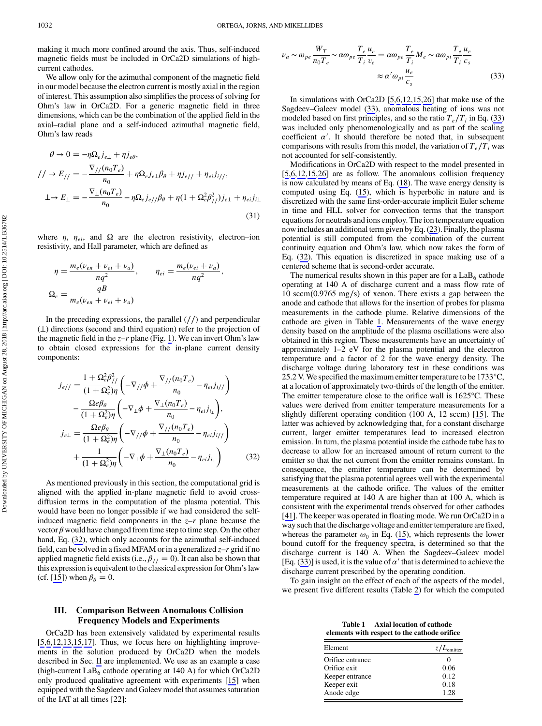<span id="page-6-0"></span>making it much more confined around the axis. Thus, self-induced magnetic fields must be included in OrCa2D simulations of highcurrent cathodes.

We allow only for the azimuthal component of the magnetic field in our model because the electron current is mostly axial in the region of interest. This assumption also simplifies the process of solving for Ohm's law in OrCa2D. For a generic magnetic field in three dimensions, which can be the combination of the applied field in the axial–radial plane and a self-induced azimuthal magnetic field, Ohm's law reads

$$
\theta \to 0 = -\eta \Omega_{e} j_{e\perp} + \eta j_{e\theta},
$$
  
\n
$$
/\!/ \to E_{//} = -\frac{\nabla_{//} (n_0 T_e)}{n_0} + \eta \Omega_{e} j_{e\perp} \beta_{\theta} + \eta j_{e//} + \eta_{ei} j_{i//},
$$
  
\n
$$
\perp \to E_{\perp} = -\frac{\nabla_{\perp} (n_0 T_e)}{n_0} - \eta \Omega_{e} j_{e//} \beta_{\theta} + \eta (1 + \Omega_{e}^2 \beta_{//}^2) j_{e\perp} + \eta_{ei} j_{i\perp}
$$
\n(31)

where  $\eta$ ,  $\eta_{ei}$ , and  $\Omega$  are the electron resistivity, electron–ion resistivity, and Hall parameter, which are defined as

$$
\eta = \frac{m_e(\nu_{en} + \nu_{ei} + \nu_a)}{nq^2}, \qquad \eta_{ei} = \frac{m_e(\nu_{ei} + \nu_a)}{nq^2},
$$
  

$$
\Omega_e = \frac{qB}{m_e(\nu_{en} + \nu_{ei} + \nu_a)}
$$

In the preceding expressions, the parallel (∕∕) and perpendicular (⊥) directions (second and third equation) refer to the projection of the magnetic field in the  $z-r$  plane (Fig. [1](#page-2-0)). We can invert Ohm's law to obtain closed expressions for the in-plane current density components:

$$
j_{e//} = \frac{1 + \Omega_e^2 \beta_{//}^2}{(1 + \Omega_e^2)\eta} \left( -\nabla_{//} \phi + \frac{\nabla_{//}(n_0 T_e)}{n_0} - \eta_{ei} j_{i//} \right)
$$
  

$$
- \frac{\Omega e \beta_{\theta}}{(1 + \Omega_e^2)\eta} \left( -\nabla_{\perp} \phi + \frac{\nabla_{\perp} (n_0 T_e)}{n_0} - \eta_{ei} j_{i_{\perp}} \right),
$$
  

$$
j_{e\perp} = \frac{\Omega e \beta_{\theta}}{(1 + \Omega_e^2)\eta} \left( -\nabla_{//} \phi + \frac{\nabla_{//}(n_0 T_e)}{n_0} - \eta_{ei} j_{i//} \right)
$$
  

$$
+ \frac{1}{(1 + \Omega_e^2)\eta} \left( -\nabla_{\perp} \phi + \frac{\nabla_{\perp} (n_0 T_e)}{n_0} - \eta_{ei} j_{i_{\perp}} \right) \tag{32}
$$

As mentioned previously in this section, the computational grid is aligned with the applied in-plane magnetic field to avoid crossdiffusion terms in the computation of the plasma potential. This would have been no longer possible if we had considered the selfinduced magnetic field components in the  $z-r$  plane because the vector  $\beta$  would have changed from time step to time step. On the other hand, Eq. (32), which only accounts for the azimuthal self-induced field, can be solved in a fixed MFAM or in a generalized  $z-r$  grid if no applied magnetic field exists (i.e.,  $\beta_{//} = 0$ ). It can also be shown that this expression is equivalent to the classical expression for Ohm's law (cf. [[15\]](#page-11-0)) when  $\beta_{\theta} = 0$ .

# III. Comparison Between Anomalous Collision Frequency Models and Experiments

OrCa2D has been extensively validated by experimental results [\[5,6,12,13,15,17](#page-11-0)]. Thus, we focus here on highlighting improvements in the solution produced by OrCa2D when the models described in Sec. [II](#page-1-0) are implemented. We use as an example a case (high-current  $LaB<sub>6</sub>$  cathode operating at 140 A) for which OrCa2D only produced qualitative agreement with experiments [[15\]](#page-11-0) when equipped with the Sagdeev and Galeev model that assumes saturation of the IAT at all times [[22](#page-11-0)]:

$$
\nu_a \sim \omega_{pe} \frac{W_T}{n_0 T_e} \sim \alpha \omega_{pe} \frac{T_e}{T_i} \frac{u_e}{v_e} = \alpha \omega_{pe} \frac{T_e}{T_i} M_e \sim \alpha \omega_{pi} \frac{T_e}{T_i} \frac{u_e}{c_s}
$$
\n
$$
\approx \alpha' \omega_{pi} \frac{u_e}{c_s}
$$
\n(33)

In simulations with OrCa2D [\[5,6,12](#page-11-0),[15,](#page-11-0)[26\]](#page-12-0) that make use of the Sagdeev–Galeev model (33), anomalous heating of ions was not modeled based on first principles, and so the ratio  $T_e/T_i$  in Eq. (33) was included only phenomenologically and as part of the scaling coefficient  $\alpha'$ . It should therefore be noted that, in subsequent comparisons with results from this model, the variation of  $T_e/T_i$  was not accounted for self-consistently.

Modifications in OrCa2D with respect to the model presented in [\[5,6,12,15](#page-11-0)[,26](#page-12-0)] are as follow. The anomalous collision frequency is now calculated by means of Eq. [\(18](#page-4-0)). The wave energy density is computed using Eq. ([15\)](#page-4-0), which is hyperbolic in nature and is discretized with the same first-order-accurate implicit Euler scheme in time and HLL solver for convection terms that the transport equations for neutrals and ions employ. The ion temperature equation now includes an additional term given by Eq. ([23\)](#page-5-0). Finally, the plasma potential is still computed from the combination of the current continuity equation and Ohm's law, which now takes the form of Eq. (32). This equation is discretized in space making use of a centered scheme that is second-order accurate.

The numerical results shown in this paper are for a  $LaB<sub>6</sub>$  cathode operating at 140 A of discharge current and a mass flow rate of 10 sccm $(0.9765 \text{ mg/s})$  of xenon. There exists a gap between the anode and cathode that allows for the insertion of probes for plasma measurements in the cathode plume. Relative dimensions of the cathode are given in Table 1. Measurements of the wave energy density based on the amplitude of the plasma oscillations were also obtained in this region. These measurements have an uncertainty of approximately 1–2 eV for the plasma potential and the electron temperature and a factor of 2 for the wave energy density. The discharge voltage during laboratory test in these conditions was 25.2 V. We specified the maximum emitter temperature to be 1733°C, at a location of approximately two-thirds of the length of the emitter. The emitter temperature close to the orifice wall is 1625°C. These values were derived from emitter temperature measurements for a slightly different operating condition (100 A, 12 sccm) [\[15](#page-11-0)]. The latter was achieved by acknowledging that, for a constant discharge current, larger emitter temperatures lead to increased electron emission. In turn, the plasma potential inside the cathode tube has to decrease to allow for an increased amount of return current to the emitter so that the net current from the emitter remains constant. In consequence, the emitter temperature can be determined by satisfying that the plasma potential agrees well with the experimental measurements at the cathode orifice. The values of the emitter temperature required at 140 A are higher than at 100 A, which is consistent with the experimental trends observed for other cathodes [\[41](#page-12-0)]. The keeper was operated in floating mode. We run OrCa2D in a way such that the discharge voltage and emitter temperature are fixed, whereas the parameter  $\omega_0$  in Eq. ([15\)](#page-4-0), which represents the lower bound cutoff for the frequency spectra, is determined so that the discharge current is 140 A. When the Sagdeev–Galeev model [Eq. (33)] is used, it is the value of  $\alpha'$  that is determined to achieve the discharge current prescribed by the operating condition.

To gain insight on the effect of each of the aspects of the model, we present five different results (Table [2](#page-7-0)) for which the computed

Table 1 Axial location of cathode elements with respect to the cathode orifice

| Element          | $z/L_{\rm emitter}$ |
|------------------|---------------------|
| Orifice entrance |                     |
| Orifice exit     | 0.06                |
| Keeper entrance  | 0.12                |
| Keeper exit      | 0.18                |
| Anode edge       | 1.28                |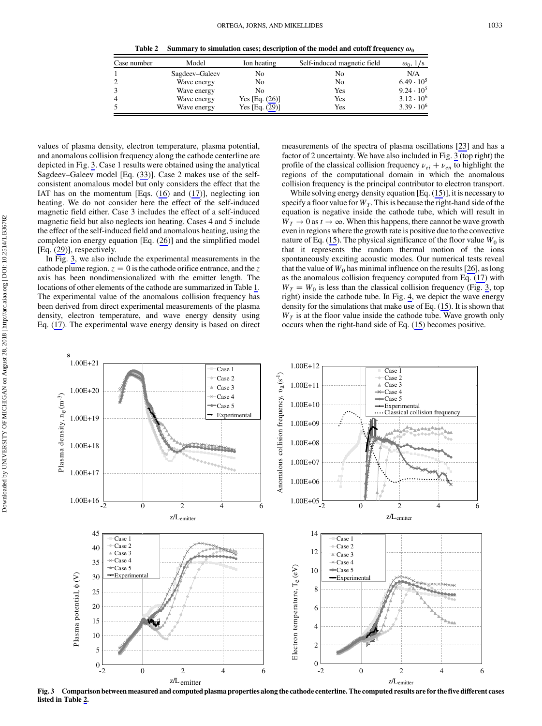Table 2 Summary to simulation cases; description of the model and cutoff frequency  $\omega_0$ 

<span id="page-7-0"></span>

| Case number    | Model          | Ion heating       | Self-induced magnetic field | $\omega_0$ , 1/s  |
|----------------|----------------|-------------------|-----------------------------|-------------------|
|                | Sagdeev–Galeev | No                | No                          | N/A               |
| 2              | Wave energy    | No                | No                          | $6.49 \cdot 10^5$ |
| 3              | Wave energy    | N <sub>0</sub>    | Yes                         | $9.24 \cdot 10^5$ |
| $\overline{4}$ | Wave energy    | Yes [Eq. $(26)$ ] | Yes                         | $3.12 \cdot 10^6$ |
|                | Wave energy    | Yes [Eq. $(29)$ ] | Yes                         | $3.39 \cdot 10^6$ |

values of plasma density, electron temperature, plasma potential, and anomalous collision frequency along the cathode centerline are depicted in Fig. 3. Case 1 results were obtained using the analytical Sagdeev–Galeev model [Eq. ([33\)](#page-6-0)]. Case 2 makes use of the selfconsistent anomalous model but only considers the effect that the IAT has on the momentum [Eqs. [\(16\)](#page-4-0) and ([17\)](#page-4-0)], neglecting ion heating. We do not consider here the effect of the self-induced magnetic field either. Case 3 includes the effect of a self-induced magnetic field but also neglects ion heating. Cases 4 and 5 include the effect of the self-induced field and anomalous heating, using the complete ion energy equation [Eq. ([26](#page-5-0))] and the simplified model [Eq. [\(29](#page-5-0))], respectively.

In Fig. 3, we also include the experimental measurements in the cathode plume region.  $z = 0$  is the cathode orifice entrance, and the z axis has been nondimensionalized with the emitter length. The locations of other elements of the cathode are summarized in Table [1](#page-6-0). The experimental value of the anomalous collision frequency has been derived from direct experimental measurements of the plasma density, electron temperature, and wave energy density using Eq. [\(17](#page-4-0)). The experimental wave energy density is based on direct measurements of the spectra of plasma oscillations [[23\]](#page-12-0) and has a factor of 2 uncertainty. We have also included in Fig. 3 (top right) the profile of the classical collision frequency  $\nu_{ei} + \nu_{en}$  to highlight the regions of the computational domain in which the anomalous collision frequency is the principal contributor to electron transport.

While solving energy density equation [Eq. [\(15](#page-4-0))], it is necessary to specify a floor value for  $W_T$ . This is because the right-hand side of the equation is negative inside the cathode tube, which will result in  $W_T \to 0$  as  $t \to \infty$ . When this happens, there cannot be wave growth even in regions where the growth rate is positive due to the convective nature of Eq. ([15\)](#page-4-0). The physical significance of the floor value  $W_0$  is that it represents the random thermal motion of the ions spontaneously exciting acoustic modes. Our numerical tests reveal that the value of  $W_0$  has minimal influence on the results [[26\]](#page-12-0), as long as the anomalous collision frequency computed from Eq. [\(17](#page-4-0)) with  $W_T = W_0$  is less than the classical collision frequency (Fig. 3, top right) inside the cathode tube. In Fig. [4,](#page-8-0) we depict the wave energy density for the simulations that make use of Eq. [\(15](#page-4-0)). It is shown that  $W_T$  is at the floor value inside the cathode tube. Wave growth only occurs when the right-hand side of Eq. [\(15](#page-4-0)) becomes positive.



Fig. 3 Comparison between measured and computed plasma properties along the cathode centerline. The computed results are for the five different cases listed in Table 2.

Downloaded by UNIVERSITY OF MICHIGAN on August 28, 2018 | http://arc.aiaa.org | DOI: 10.2514/1.B36782 Downloaded by UNIVERSITY OF MICHIGAN on August 28, 2018 | http://arc.aiaa.org | DOI: 10.2514/1 B36782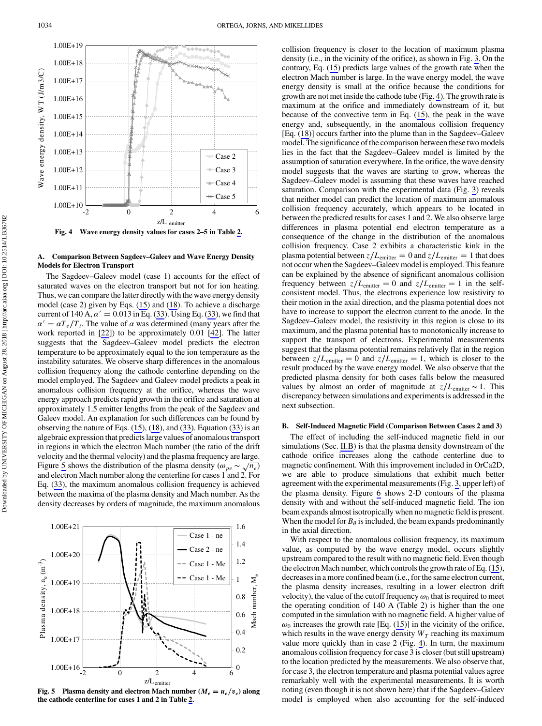<span id="page-8-0"></span>

### A. Comparison Between Sagdeev–Galeev and Wave Energy Density Models for Electron Transport

The Sagdeev–Galeev model (case 1) accounts for the effect of saturated waves on the electron transport but not for ion heating. Thus, we can compare the latter directly with the wave energy density model (case 2) given by Eqs. [\(15](#page-4-0)) and ([18\)](#page-4-0). To achieve a discharge current of 140 A,  $\alpha' = 0.013$  in Eq. ([33\)](#page-6-0). Using Eq. (33), we find that  $\alpha' = \alpha T_e/T_i$ . The value of  $\alpha$  was determined (many years after the work reported in [\[22](#page-11-0)]) to be approximately 0.01 [\[42](#page-12-0)]. The latter suggests that the Sagdeev–Galeev model predicts the electron temperature to be approximately equal to the ion temperature as the instability saturates. We observe sharp differences in the anomalous collision frequency along the cathode centerline depending on the model employed. The Sagdeev and Galeev model predicts a peak in anomalous collision frequency at the orifice, whereas the wave energy approach predicts rapid growth in the orifice and saturation at approximately 1.5 emitter lengths from the peak of the Sagdeev and Galeev model. An explanation for such differences can be found by observing the nature of Eqs. [\(15](#page-4-0)), [\(18](#page-4-0)), and [\(33](#page-6-0)). Equation [\(33](#page-6-0)) is an algebraic expression that predicts large values of anomalous transport in regions in which the electron Mach number (the ratio of the drift velocity and the thermal velocity) and the plasma frequency are large. Figure 5 shows the distribution of the plasma density  $(\omega_{pe} \sim \sqrt{n_e})$ and electron Mach number along the centerline for cases 1 and 2. For Eq. [\(33](#page-6-0)), the maximum anomalous collision frequency is achieved between the maxima of the plasma density and Mach number. As the density decreases by orders of magnitude, the maximum anomalous



Fig. 5 Plasma density and electron Mach number ( $M_e = u_e/v_e$ ) along the cathode centerline for cases 1 and 2 in Table [2.](#page-7-0)

collision frequency is closer to the location of maximum plasma density (i.e., in the vicinity of the orifice), as shown in Fig. [3.](#page-7-0) On the contrary, Eq. ([15\)](#page-4-0) predicts large values of the growth rate when the electron Mach number is large. In the wave energy model, the wave energy density is small at the orifice because the conditions for growth are not met inside the cathode tube (Fig. 4). The growth rate is maximum at the orifice and immediately downstream of it, but because of the convective term in Eq. ([15\)](#page-4-0), the peak in the wave energy and, subsequently, in the anomalous collision frequency [Eq. ([18](#page-4-0))] occurs farther into the plume than in the Sagdeev–Galeev model. The significance of the comparison between these two models lies in the fact that the Sagdeev–Galeev model is limited by the assumption of saturation everywhere. In the orifice, the wave density model suggests that the waves are starting to grow, whereas the Sagdeev–Galeev model is assuming that these waves have reached saturation. Comparison with the experimental data (Fig. [3\)](#page-7-0) reveals that neither model can predict the location of maximum anomalous collision frequency accurately, which appears to be located in between the predicted results for cases 1 and 2. We also observe large differences in plasma potential end electron temperature as a consequence of the change in the distribution of the anomalous collision frequency. Case 2 exhibits a characteristic kink in the plasma potential between  $z/L_{\text{emitter}} = 0$  and  $z/L_{\text{emitter}} = 1$  that does not occur when the Sagdeev–Galeev model is employed. This feature can be explained by the absence of significant anomalous collision frequency between  $z/L_{\text{emitter}} = 0$  and  $z/L_{\text{emitter}} = 1$  in the selfconsistent model. Thus, the electrons experience low resistivity to their motion in the axial direction, and the plasma potential does not have to increase to support the electron current to the anode. In the Sagdeev–Galeev model, the resistivity in this region is close to its maximum, and the plasma potential has to monotonically increase to support the transport of electrons. Experimental measurements suggest that the plasma potential remains relatively flat in the region between  $z/L_{\text{emitter}} = 0$  and  $z/L_{\text{emitter}} = 1$ , which is closer to the result produced by the wave energy model. We also observe that the predicted plasma density for both cases falls below the measured values by almost an order of magnitude at  $z/L_{emitter} \sim 1$ . This discrepancy between simulations and experiments is addressed in the next subsection.

#### B. Self-Induced Magnetic Field (Comparison Between Cases 2 and 3)

The effect of including the self-induced magnetic field in our simulations (Sec. [II.B\)](#page-5-0) is that the plasma density downstream of the cathode orifice increases along the cathode centerline due to magnetic confinement. With this improvement included in OrCa2D, we are able to produce simulations that exhibit much better agreement with the experimental measurements (Fig. [3](#page-7-0), upper left) of the plasma density. Figure [6](#page-9-0) shows 2-D contours of the plasma density with and without the self-induced magnetic field. The ion beam expands almost isotropically when no magnetic field is present. When the model for  $B_\theta$  is included, the beam expands predominantly in the axial direction.

With respect to the anomalous collision frequency, its maximum value, as computed by the wave energy model, occurs slightly upstream compared to the result with no magnetic field. Even though the electron Mach number, which controls the growth rate of Eq. [\(15](#page-4-0)), decreases in a more confined beam (i.e., for the same electron current, the plasma density increases, resulting in a lower electron drift velocity), the value of the cutoff frequency  $\omega_0$  that is required to meet the operating condition of 140 A (Table [2](#page-7-0)) is higher than the one computed in the simulation with no magnetic field. A higher value of  $\omega_0$  increases the growth rate [Eq. ([15\)](#page-4-0)] in the vicinity of the orifice, which results in the wave energy density  $W_T$  reaching its maximum value more quickly than in case 2 (Fig. 4). In turn, the maximum anomalous collision frequency for case 3 is closer (but still upstream) to the location predicted by the measurements. We also observe that, for case 3, the electron temperature and plasma potential values agree remarkably well with the experimental measurements. It is worth noting (even though it is not shown here) that if the Sagdeev–Galeev model is employed when also accounting for the self-induced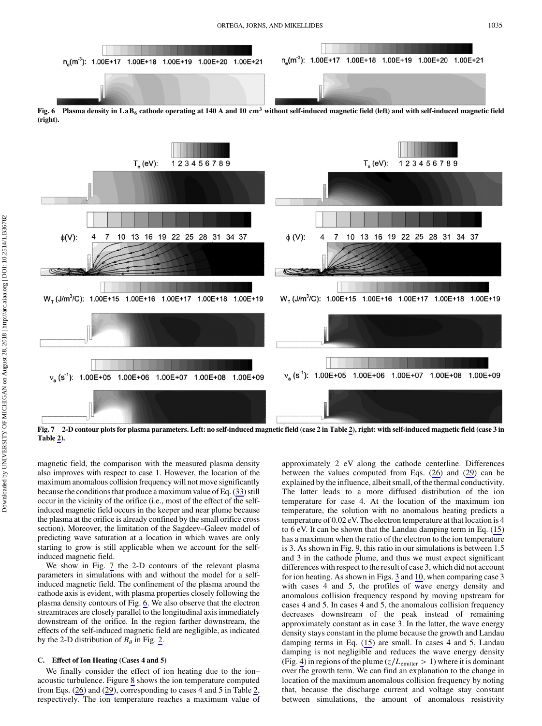<span id="page-9-0"></span>



Fig. 7 2-D contour plots for plasma parameters. Left: no self-induced magnetic field (case 2 in Table [2\)](#page-7-0), right: with self-induced magnetic field (case 3 in Table [2\)](#page-7-0).

magnetic field, the comparison with the measured plasma density also improves with respect to case 1. However, the location of the maximum anomalous collision frequency will not move significantly because the conditions that produce a maximum value of Eq. [\(33](#page-6-0)) still occur in the vicinity of the orifice (i.e., most of the effect of the selfinduced magnetic field occurs in the keeper and near plume because the plasma at the orifice is already confined by the small orifice cross section). Moreover, the limitation of the Sagdeev–Galeev model of predicting wave saturation at a location in which waves are only starting to grow is still applicable when we account for the selfinduced magnetic field.

We show in Fig. 7 the 2-D contours of the relevant plasma parameters in simulations with and without the model for a selfinduced magnetic field. The confinement of the plasma around the cathode axis is evident, with plasma properties closely following the plasma density contours of Fig. 6. We also observe that the electron streamtraces are closely parallel to the longitudinal axis immediately downstream of the orifice. In the region farther downstream, the effects of the self-induced magnetic field are negligible, as indicated by the [2](#page-5-0)-D distribution of  $B_\theta$  in Fig. 2.

#### C. Effect of Ion Heating (Cases 4 and 5)

We finally consider the effect of ion heating due to the ion– acoustic turbulence. Figure [8](#page-10-0) shows the ion temperature computed from Eqs. ([26](#page-5-0)) and [\(29\)](#page-5-0), corresponding to cases 4 and 5 in Table [2](#page-7-0), respectively. The ion temperature reaches a maximum value of approximately 2 eV along the cathode centerline. Differences between the values computed from Eqs. [\(26](#page-5-0)) and ([29\)](#page-5-0) can be explained by the influence, albeit small, of the thermal conductivity. The latter leads to a more diffused distribution of the ion temperature for case 4. At the location of the maximum ion temperature, the solution with no anomalous heating predicts a temperature of 0.02 eV. The electron temperature at that location is 4 to 6 eV. It can be shown that the Landau damping term in Eq. [\(15\)](#page-4-0) has a maximum when the ratio of the electron to the ion temperature is 3. As shown in Fig. [9,](#page-10-0) this ratio in our simulations is between 1.5 and 3 in the cathode plume, and thus we must expect significant differences with respect to the result of case 3, which did not account for ion heating. As shown in Figs. [3](#page-7-0) and [10,](#page-10-0) when comparing case 3 with cases 4 and 5, the profiles of wave energy density and anomalous collision frequency respond by moving upstream for cases 4 and 5. In cases 4 and 5, the anomalous collision frequency decreases downstream of the peak instead of remaining approximately constant as in case 3. In the latter, the wave energy density stays constant in the plume because the growth and Landau damping terms in Eq. ([15](#page-4-0)) are small. In cases 4 and 5, Landau damping is not negligible and reduces the wave energy density (Fig. [4](#page-8-0)) in regions of the plume ( $z/L_{\text{emitter}} > 1$ ) where it is dominant over the growth term. We can find an explanation to the change in location of the maximum anomalous collision frequency by noting that, because the discharge current and voltage stay constant between simulations, the amount of anomalous resistivity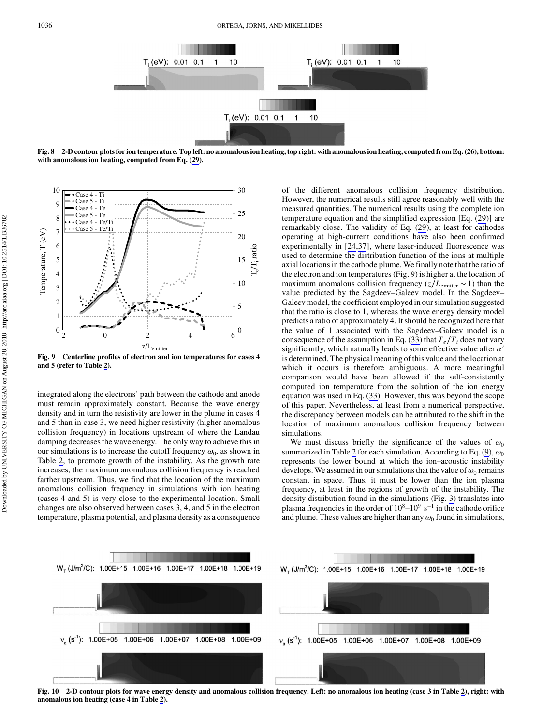<span id="page-10-0"></span>

Fig. 8 2-D contour plots for ion temperature. Top left: no anomalous ion heating, top right: with anomalous ion heating, computed from Eq. [\(26](#page-5-0)), bottom: with anomalous ion heating, computed from Eq. [\(29](#page-5-0)).



Fig. 9 Centerline profiles of electron and ion temperatures for cases 4 and 5 (refer to Table [2](#page-7-0)).

integrated along the electrons' path between the cathode and anode must remain approximately constant. Because the wave energy density and in turn the resistivity are lower in the plume in cases 4 and 5 than in case 3, we need higher resistivity (higher anomalous collision frequency) in locations upstream of where the Landau damping decreases the wave energy. The only way to achieve this in our simulations is to increase the cutoff frequency  $\omega_0$ , as shown in Table [2](#page-7-0), to promote growth of the instability. As the growth rate increases, the maximum anomalous collision frequency is reached farther upstream. Thus, we find that the location of the maximum anomalous collision frequency in simulations with ion heating (cases 4 and 5) is very close to the experimental location. Small changes are also observed between cases 3, 4, and 5 in the electron temperature, plasma potential, and plasma density as a consequence of the different anomalous collision frequency distribution. However, the numerical results still agree reasonably well with the measured quantities. The numerical results using the complete ion temperature equation and the simplified expression [Eq. ([29\)](#page-5-0)] are remarkably close. The validity of Eq. [\(29](#page-5-0)), at least for cathodes operating at high-current conditions have also been confirmed experimentally in [\[24](#page-12-0),[37\]](#page-12-0), where laser-induced fluorescence was used to determine the distribution function of the ions at multiple axial locations in the cathode plume. We finally note that the ratio of the electron and ion temperatures (Fig. 9) is higher at the location of maximum anomalous collision frequency ( $z/L_{emitter} \sim 1$ ) than the value predicted by the Sagdeev–Galeev model. In the Sagdeev– Galeev model, the coefficient employed in our simulation suggested that the ratio is close to 1, whereas the wave energy density model predicts a ratio of approximately 4. It should be recognized here that the value of 1 associated with the Sagdeev–Galeev model is a consequence of the assumption in Eq. ([33\)](#page-6-0) that  $T_e/T_i$  does not vary significantly, which naturally leads to some effective value after  $\alpha'$ is determined. The physical meaning of this value and the location at which it occurs is therefore ambiguous. A more meaningful comparison would have been allowed if the self-consistently computed ion temperature from the solution of the ion energy equation was used in Eq. [\(33\)](#page-6-0). However, this was beyond the scope of this paper. Nevertheless, at least from a numerical perspective, the discrepancy between models can be attributed to the shift in the location of maximum anomalous collision frequency between simulations.

We must discuss briefly the significance of the values of  $\omega_0$ summarized in Table [2](#page-7-0) for each simulation. According to Eq. [\(9\)](#page-3-0),  $\omega_0$ represents the lower bound at which the ion–acoustic instability develops. We assumed in our simulations that the value of  $\omega_0$  remains constant in space. Thus, it must be lower than the ion plasma frequency, at least in the regions of growth of the instability. The density distribution found in the simulations (Fig. [3](#page-7-0)) translates into plasma frequencies in the order of  $10^8$ – $10^9$  s<sup>-1</sup> in the cathode orifice and plume. These values are higher than any  $\omega_0$  found in simulations,



Fig. 10 2-D contour plots for wave energy density and anomalous collision frequency. Left: no anomalous ion heating (case 3 in Table [2\)](#page-7-0), right: with anomalous ion heating (case 4 in Table [2\)](#page-7-0).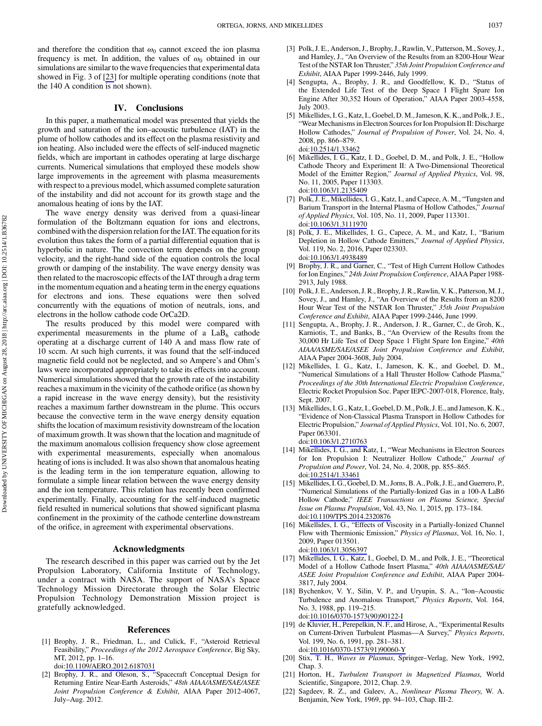<span id="page-11-0"></span>and therefore the condition that  $\omega_0$  cannot exceed the ion plasma frequency is met. In addition, the values of  $\omega_0$  obtained in our simulations are similar to the wave frequencies that experimental data showed in Fig. 3 of [\[23\]](#page-12-0) for multiple operating conditions (note that the 140 A condition is not shown).

#### IV. Conclusions

In this paper, a mathematical model was presented that yields the growth and saturation of the ion–acoustic turbulence (IAT) in the plume of hollow cathodes and its effect on the plasma resistivity and ion heating. Also included were the effects of self-induced magnetic fields, which are important in cathodes operating at large discharge currents. Numerical simulations that employed these models show large improvements in the agreement with plasma measurements with respect to a previous model, which assumed complete saturation of the instability and did not account for its growth stage and the anomalous heating of ions by the IAT.

The wave energy density was derived from a quasi-linear formulation of the Boltzmann equation for ions and electrons, combined with the dispersion relation for the IAT. The equation for its evolution thus takes the form of a partial differential equation that is hyperbolic in nature. The convection term depends on the group velocity, and the right-hand side of the equation controls the local growth or damping of the instability. The wave energy density was then related to the macroscopic effects of the IAT through a drag term in the momentum equation and a heating term in the energy equations for electrons and ions. These equations were then solved concurrently with the equations of motion of neutrals, ions, and electrons in the hollow cathode code OrCa2D.

The results produced by this model were compared with experimental measurements in the plume of a  $LaB<sub>6</sub>$  cathode operating at a discharge current of 140 A and mass flow rate of 10 sccm. At such high currents, it was found that the self-induced magnetic field could not be neglected, and so Ampere's and Ohm's laws were incorporated appropriately to take its effects into account. Numerical simulations showed that the growth rate of the instability reaches a maximum in the vicinity of the cathode orifice (as shown by a rapid increase in the wave energy density), but the resistivity reaches a maximum farther downstream in the plume. This occurs because the convective term in the wave energy density equation shifts the location of maximum resistivity downstream of the location of maximum growth. It was shown that the location and magnitude of the maximum anomalous collision frequency show close agreement with experimental measurements, especially when anomalous heating of ions is included. It was also shown that anomalous heating is the leading term in the ion temperature equation, allowing to formulate a simple linear relation between the wave energy density and the ion temperature. This relation has recently been confirmed experimentally. Finally, accounting for the self-induced magnetic field resulted in numerical solutions that showed significant plasma confinement in the proximity of the cathode centerline downstream of the orifice, in agreement with experimental observations.

#### Acknowledgments

The research described in this paper was carried out by the Jet Propulsion Laboratory, California Institute of Technology, under a contract with NASA. The support of NASA's Space Technology Mission Directorate through the Solar Electric Propulsion Technology Demonstration Mission project is gratefully acknowledged.

# References

- [1] Brophy, J. R., Friedman, L., and Culick, F., "Asteroid Retrieval Feasibility," Proceedings of the 2012 Aerospace Conference, Big Sky, MT, 2012, pp. 1–16. doi:[10.1109/AERO.2012.6187031](http://dx.doi.org/10.1109/AERO.2012.6187031)
- [2] Brophy, J. R., and Oleson, S., "Spacecraft Conceptual Design for Returning Entire Near-Earth Asteroids," 48th AIAA/ASME/SAE/ASEE Joint Propulsion Conference & Exhibit, AIAA Paper 2012-4067, July–Aug. 2012.
- [3] Polk, J. E., Anderson, J., Brophy, J., Rawlin, V., Patterson, M., Sovey, J., and Hamley, J., "An Overview of the Results from an 8200-Hour Wear Test of the NSTAR Ion Thruster," 35th Joint Propulsion Conference and Exhibit, AIAA Paper 1999-2446, July 1999.
- [4] Sengupta, A., Brophy, J. R., and Goodfellow, K. D., "Status of the Extended Life Test of the Deep Space I Flight Spare Ion Engine After 30,352 Hours of Operation," AIAA Paper 2003-4558, July 2003.
- [5] Mikellides, I. G., Katz, I., Goebel, D. M., Jameson, K. K., and Polk, J. E., "Wear Mechanisms in Electron Sources for Ion Propulsion II: Discharge Hollow Cathodes," Journal of Propulsion of Power, Vol. 24, No. 4, 2008, pp. 866–879. doi:[10.2514/1.33462](http://dx.doi.org/10.2514/1.33462)
- [6] Mikellides, I. G., Katz, I. D., Goebel, D. M., and Polk, J. E., "Hollow Cathode Theory and Experiment II: A Two-Dimensional Theoretical Model of the Emitter Region," Journal of Applied Physics, Vol. 98, No. 11, 2005, Paper 113303. doi:[10.1063/1.2135409](http://dx.doi.org/10.1063/1.2135409)
- [7] Polk, J. E., Mikellides, I. G., Katz, I., and Capece, A. M., "Tungsten and Barium Transport in the Internal Plasma of Hollow Cathodes," Journal of Applied Physics, Vol. 105, No. 11, 2009, Paper 113301. doi:[10.1063/1.3111970](http://dx.doi.org/10.1063/1.3111970)
- [8] Polk, J. E., Mikellides, I. G., Capece, A. M., and Katz, I., "Barium Depletion in Hollow Cathode Emitters," Journal of Applied Physics, Vol. 119, No. 2, 2016, Paper 023303. doi:[10.1063/1.4938489](http://dx.doi.org/10.1063/1.4938489)
- [9] Brophy, J. R., and Garner, C., "Test of High Current Hollow Cathodes for Ion Engines," 24th Joint Propulsion Conference, AIAA Paper 1988- 2913, July 1988.
- [10] Polk, J. E., Anderson, J. R., Brophy, J. R., Rawlin, V. K., Patterson, M. J., Sovey, J., and Hamley, J., "An Overview of the Results from an 8200 Hour Wear Test of the NSTAR Ion Thruster," 35th Joint Propulsion Conference and Exhibit, AIAA Paper 1999-2446, June 1999.
- [11] Sengupta, A., Brophy, J. R., Anderson, J. R., Garner, C., de Groh, K., Karniotis, T., and Banks, B., "An Overview of the Results from the 30,000 Hr Life Test of Deep Space 1 Flight Spare Ion Engine," 40th AIAA/ASME/SAE/ASEE Joint Propulsion Conference and Exhibit, AIAA Paper 2004-3608, July 2004.
- [12] Mikellides, I. G., Katz, I., Jameson, K. K., and Goebel, D. M., "Numerical Simulations of a Hall Thruster Hollow Cathode Plasma," Proceedings of the 30th International Electric Propulsion Conference, Electric Rocket Propulsion Soc. Paper IEPC-2007-018, Florence, Italy, Sept. 2007.
- [13] Mikellides, I. G., Katz, I., Goebel, D. M., Polk, J. E., and Jameson, K. K., "Evidence of Non-Classical Plasma Transport in Hollow Cathodes for Electric Propulsion," Journal of Applied Physics, Vol. 101, No. 6, 2007, Paper 063301. doi:[10.1063/1.2710763](http://dx.doi.org/10.1063/1.2710763)
- [14] Mikellides, I. G., and Katz, I., "Wear Mechanisms in Electron Sources for Ion Propulsion I: Neutralizer Hollow Cathode," Journal of Propulsion and Power, Vol. 24, No. 4, 2008, pp. 855–865. doi:[10.2514/1.33461](http://dx.doi.org/10.2514/1.33461)
- [15] Mikellides, I. G., Goebel, D. M., Jorns, B. A., Polk, J. E., and Guerrero, P., "Numerical Simulations of the Partially-Ionized Gas in a 100-A LaB6 Hollow Cathode," IEEE Transactions on Plasma Science, Special Issue on Plasma Propulsion, Vol. 43, No. 1, 2015, pp. 173–184. doi[:10.1109/TPS.2014.2320876](http://dx.doi.org/10.1109/TPS.2014.2320876)
- [16] Mikellides, I. G., "Effects of Viscosity in a Partially-Ionized Channel Flow with Thermionic Emission," Physics of Plasmas, Vol. 16, No. 1, 2009, Paper 013501. doi:[10.1063/1.3056397](http://dx.doi.org/10.1063/1.3056397)
- [17] Mikellides, I. G., Katz, I., Goebel, D. M., and Polk, J. E., "Theoretical Model of a Hollow Cathode Insert Plasma," 40th AIAA/ASME/SAE/ ASEE Joint Propulsion Conference and Exhibit, AIAA Paper 2004- 3817, July 2004.
- [18] Bychenkov, V. Y., Silin, V. P., and Uryupin, S. A., "Ion–Acoustic Turbulence and Anomalous Transport," Physics Reports, Vol. 164, No. 3, 1988, pp. 119–215. doi:[10.1016/0370-1573\(90\)90122-I](http://dx.doi.org/10.1016/0370-1573(90)90122-I)
- [19] de Kluvier, H., Perepelkin, N. F., and Hirose, A., "Experimental Results on Current-Driven Turbulent Plasmas—A Survey," Physics Reports, Vol. 199, No. 6, 1991, pp. 281–381. doi:[10.1016/0370-1573\(91\)90060-Y](http://dx.doi.org/10.1016/0370-1573(91)90060-Y)
- [20] Stix, T. H., Waves in Plasmas, Springer–Verlag, New York, 1992, Chap. 3.
- [21] Horton, H., Turbulent Transport in Magnetized Plasmas, World Scientific, Singapore, 2012, Chap. 2.9.
- [22] Sagdeev, R. Z., and Galeev, A., Nonlinear Plasma Theory, W. A. Benjamin, New York, 1969, pp. 94–103, Chap. III-2.